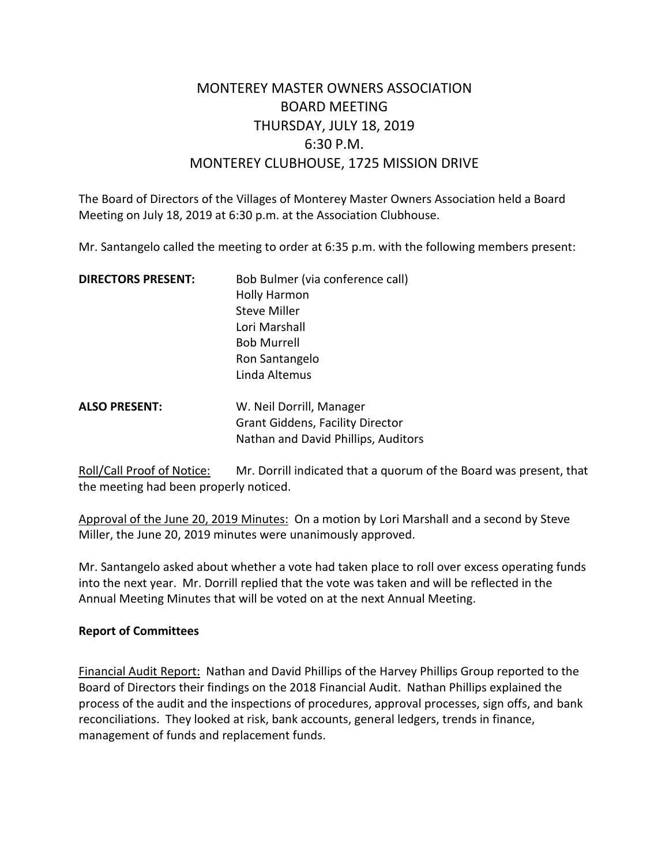# MONTEREY MASTER OWNERS ASSOCIATION BOARD MEETING THURSDAY, JULY 18, 2019 6:30 P.M. MONTEREY CLUBHOUSE, 1725 MISSION DRIVE

The Board of Directors of the Villages of Monterey Master Owners Association held a Board Meeting on July 18, 2019 at 6:30 p.m. at the Association Clubhouse.

Mr. Santangelo called the meeting to order at 6:35 p.m. with the following members present:

| <b>DIRECTORS PRESENT:</b> | Bob Bulmer (via conference call) |
|---------------------------|----------------------------------|
|                           | <b>Holly Harmon</b>              |
|                           | <b>Steve Miller</b>              |
|                           | Lori Marshall                    |
|                           | <b>Bob Murrell</b>               |
|                           | Ron Santangelo                   |
|                           | Linda Altemus                    |
|                           |                                  |

**ALSO PRESENT:** W. Neil Dorrill, Manager Grant Giddens, Facility Director Nathan and David Phillips, Auditors

Roll/Call Proof of Notice: Mr. Dorrill indicated that a quorum of the Board was present, that the meeting had been properly noticed.

Approval of the June 20, 2019 Minutes: On a motion by Lori Marshall and a second by Steve Miller, the June 20, 2019 minutes were unanimously approved.

Mr. Santangelo asked about whether a vote had taken place to roll over excess operating funds into the next year. Mr. Dorrill replied that the vote was taken and will be reflected in the Annual Meeting Minutes that will be voted on at the next Annual Meeting.

#### **Report of Committees**

Financial Audit Report: Nathan and David Phillips of the Harvey Phillips Group reported to the Board of Directors their findings on the 2018 Financial Audit. Nathan Phillips explained the process of the audit and the inspections of procedures, approval processes, sign offs, and bank reconciliations. They looked at risk, bank accounts, general ledgers, trends in finance, management of funds and replacement funds.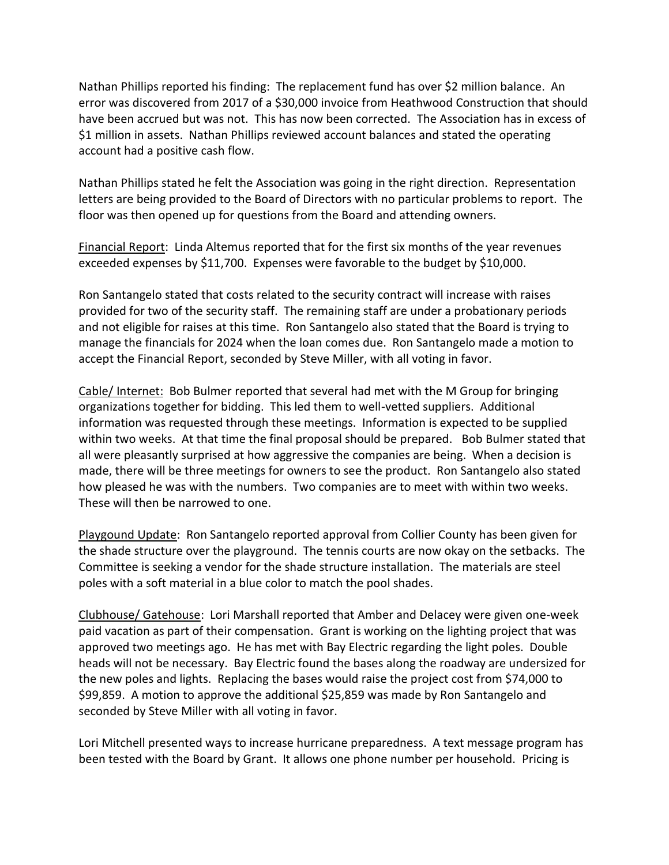Nathan Phillips reported his finding: The replacement fund has over \$2 million balance. An error was discovered from 2017 of a \$30,000 invoice from Heathwood Construction that should have been accrued but was not. This has now been corrected. The Association has in excess of \$1 million in assets. Nathan Phillips reviewed account balances and stated the operating account had a positive cash flow.

Nathan Phillips stated he felt the Association was going in the right direction. Representation letters are being provided to the Board of Directors with no particular problems to report. The floor was then opened up for questions from the Board and attending owners.

Financial Report: Linda Altemus reported that for the first six months of the year revenues exceeded expenses by \$11,700. Expenses were favorable to the budget by \$10,000.

Ron Santangelo stated that costs related to the security contract will increase with raises provided for two of the security staff. The remaining staff are under a probationary periods and not eligible for raises at this time. Ron Santangelo also stated that the Board is trying to manage the financials for 2024 when the loan comes due. Ron Santangelo made a motion to accept the Financial Report, seconded by Steve Miller, with all voting in favor.

Cable/ Internet: Bob Bulmer reported that several had met with the M Group for bringing organizations together for bidding. This led them to well-vetted suppliers. Additional information was requested through these meetings. Information is expected to be supplied within two weeks. At that time the final proposal should be prepared. Bob Bulmer stated that all were pleasantly surprised at how aggressive the companies are being. When a decision is made, there will be three meetings for owners to see the product. Ron Santangelo also stated how pleased he was with the numbers. Two companies are to meet with within two weeks. These will then be narrowed to one.

Playgound Update: Ron Santangelo reported approval from Collier County has been given for the shade structure over the playground. The tennis courts are now okay on the setbacks. The Committee is seeking a vendor for the shade structure installation. The materials are steel poles with a soft material in a blue color to match the pool shades.

Clubhouse/ Gatehouse: Lori Marshall reported that Amber and Delacey were given one-week paid vacation as part of their compensation. Grant is working on the lighting project that was approved two meetings ago. He has met with Bay Electric regarding the light poles. Double heads will not be necessary. Bay Electric found the bases along the roadway are undersized for the new poles and lights. Replacing the bases would raise the project cost from \$74,000 to \$99,859. A motion to approve the additional \$25,859 was made by Ron Santangelo and seconded by Steve Miller with all voting in favor.

Lori Mitchell presented ways to increase hurricane preparedness. A text message program has been tested with the Board by Grant. It allows one phone number per household. Pricing is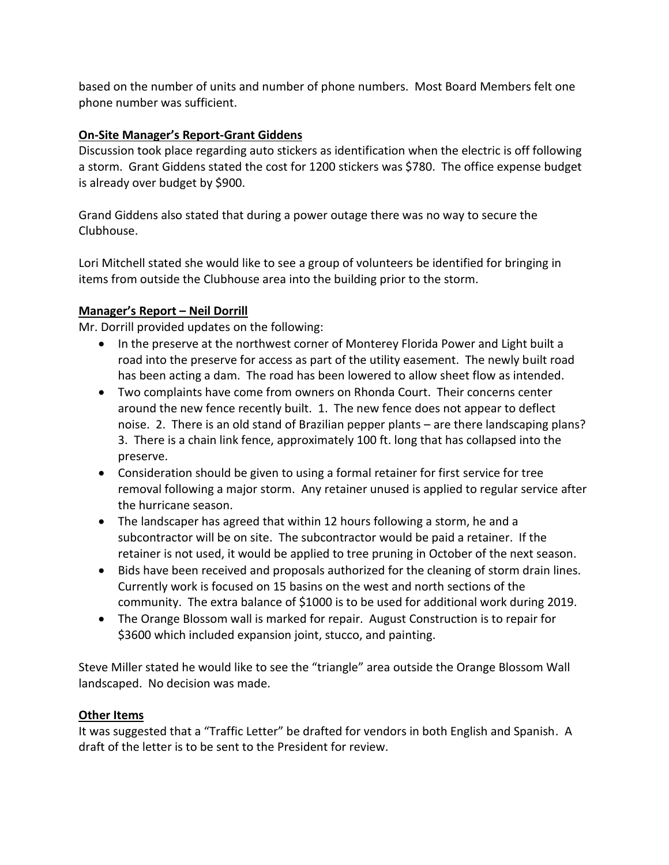based on the number of units and number of phone numbers. Most Board Members felt one phone number was sufficient.

## **On-Site Manager's Report-Grant Giddens**

Discussion took place regarding auto stickers as identification when the electric is off following a storm. Grant Giddens stated the cost for 1200 stickers was \$780. The office expense budget is already over budget by \$900.

Grand Giddens also stated that during a power outage there was no way to secure the Clubhouse.

Lori Mitchell stated she would like to see a group of volunteers be identified for bringing in items from outside the Clubhouse area into the building prior to the storm.

## **Manager's Report – Neil Dorrill**

Mr. Dorrill provided updates on the following:

- In the preserve at the northwest corner of Monterey Florida Power and Light built a road into the preserve for access as part of the utility easement. The newly built road has been acting a dam. The road has been lowered to allow sheet flow as intended.
- Two complaints have come from owners on Rhonda Court. Their concerns center around the new fence recently built. 1. The new fence does not appear to deflect noise. 2. There is an old stand of Brazilian pepper plants – are there landscaping plans? 3. There is a chain link fence, approximately 100 ft. long that has collapsed into the preserve.
- Consideration should be given to using a formal retainer for first service for tree removal following a major storm. Any retainer unused is applied to regular service after the hurricane season.
- The landscaper has agreed that within 12 hours following a storm, he and a subcontractor will be on site. The subcontractor would be paid a retainer. If the retainer is not used, it would be applied to tree pruning in October of the next season.
- Bids have been received and proposals authorized for the cleaning of storm drain lines. Currently work is focused on 15 basins on the west and north sections of the community. The extra balance of \$1000 is to be used for additional work during 2019.
- The Orange Blossom wall is marked for repair. August Construction is to repair for \$3600 which included expansion joint, stucco, and painting.

Steve Miller stated he would like to see the "triangle" area outside the Orange Blossom Wall landscaped. No decision was made.

## **Other Items**

It was suggested that a "Traffic Letter" be drafted for vendors in both English and Spanish. A draft of the letter is to be sent to the President for review.